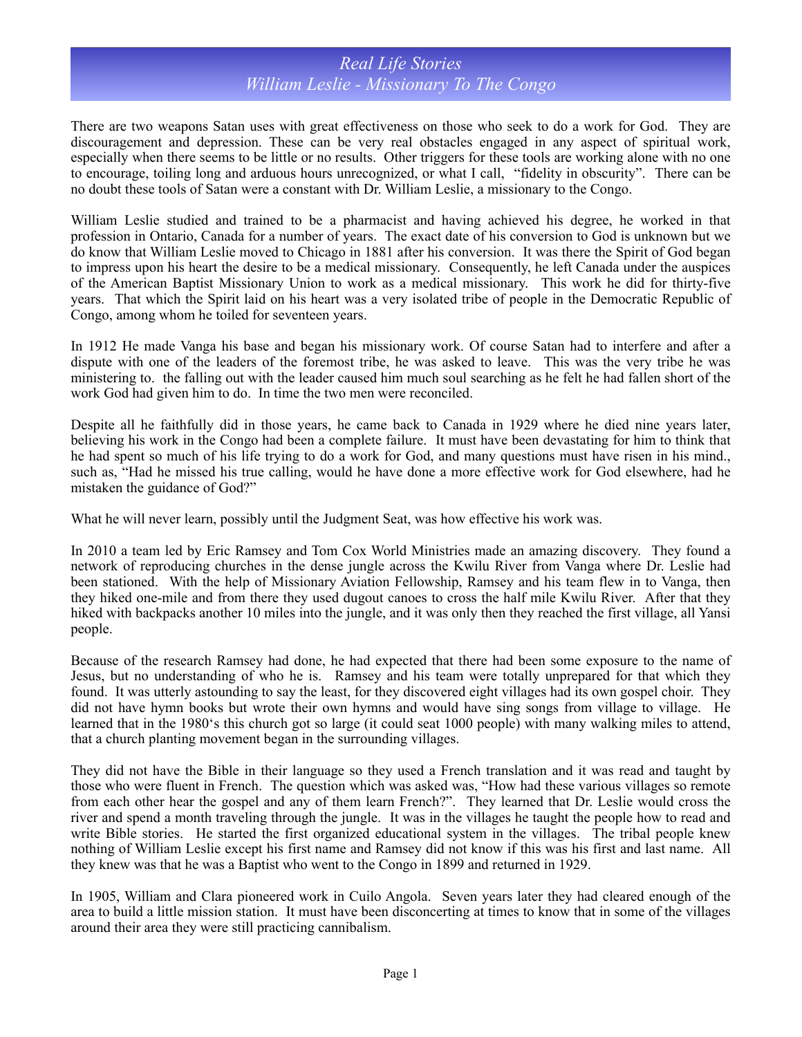## *Real Life Stories William Leslie - Missionary To The Congo*

There are two weapons Satan uses with great effectiveness on those who seek to do a work for God. They are discouragement and depression. These can be very real obstacles engaged in any aspect of spiritual work, especially when there seems to be little or no results. Other triggers for these tools are working alone with no one to encourage, toiling long and arduous hours unrecognized, or what I call, "fidelity in obscurity". There can be no doubt these tools of Satan were a constant with Dr. William Leslie, a missionary to the Congo.

William Leslie studied and trained to be a pharmacist and having achieved his degree, he worked in that profession in Ontario, Canada for a number of years. The exact date of his conversion to God is unknown but we do know that William Leslie moved to Chicago in 1881 after his conversion. It was there the Spirit of God began to impress upon his heart the desire to be a medical missionary. Consequently, he left Canada under the auspices of the American Baptist Missionary Union to work as a medical missionary. This work he did for thirty-five years. That which the Spirit laid on his heart was a very isolated tribe of people in the Democratic Republic of Congo, among whom he toiled for seventeen years.

In 1912 He made Vanga his base and began his missionary work. Of course Satan had to interfere and after a dispute with one of the leaders of the foremost tribe, he was asked to leave. This was the very tribe he was ministering to. the falling out with the leader caused him much soul searching as he felt he had fallen short of the work God had given him to do. In time the two men were reconciled.

Despite all he faithfully did in those years, he came back to Canada in 1929 where he died nine years later, believing his work in the Congo had been a complete failure. It must have been devastating for him to think that he had spent so much of his life trying to do a work for God, and many questions must have risen in his mind., such as, "Had he missed his true calling, would he have done a more effective work for God elsewhere, had he mistaken the guidance of God?"

What he will never learn, possibly until the Judgment Seat, was how effective his work was.

In 2010 a team led by Eric Ramsey and Tom Cox World Ministries made an amazing discovery. They found a network of reproducing churches in the dense jungle across the Kwilu River from Vanga where Dr. Leslie had been stationed. With the help of Missionary Aviation Fellowship, Ramsey and his team flew in to Vanga, then they hiked one-mile and from there they used dugout canoes to cross the half mile Kwilu River. After that they hiked with backpacks another 10 miles into the jungle, and it was only then they reached the first village, all Yansi people.

Because of the research Ramsey had done, he had expected that there had been some exposure to the name of Jesus, but no understanding of who he is. Ramsey and his team were totally unprepared for that which they found. It was utterly astounding to say the least, for they discovered eight villages had its own gospel choir. They did not have hymn books but wrote their own hymns and would have sing songs from village to village. He learned that in the 1980's this church got so large (it could seat 1000 people) with many walking miles to attend, that a church planting movement began in the surrounding villages.

They did not have the Bible in their language so they used a French translation and it was read and taught by those who were fluent in French. The question which was asked was, "How had these various villages so remote from each other hear the gospel and any of them learn French?". They learned that Dr. Leslie would cross the river and spend a month traveling through the jungle. It was in the villages he taught the people how to read and write Bible stories. He started the first organized educational system in the villages. The tribal people knew nothing of William Leslie except his first name and Ramsey did not know if this was his first and last name. All they knew was that he was a Baptist who went to the Congo in 1899 and returned in 1929.

In 1905, William and Clara pioneered work in Cuilo Angola. Seven years later they had cleared enough of the area to build a little mission station. It must have been disconcerting at times to know that in some of the villages around their area they were still practicing cannibalism.